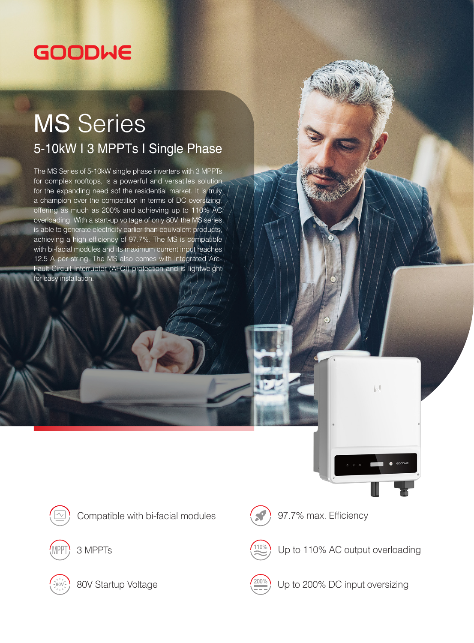## GOODWE

## MS Series 5-10kW I 3 MPPTs I Single Phase

The MS Series of 5-10kW single phase inverters with 3 MPPTs for complex rooftops, is a powerful and versatiles solution for the expanding need sof the residential market. It is truly a champion over the competition in terms of DC oversizing, offering as much as 200% and achieving up to 110% AC overloading. With a start-up voltage of only 80V, the MS series is able to generate electricity earlier than equivalent products, achieving a high efficiency of 97.7%. The MS is compatible with bi-facial modules and its maximum current input reaches 12.5 A per string. The MS also comes with integrated Arc-Fault Circuit Interrupter (AFCI) protection and is lightweight for easy installation.



Compatible with bi-facial modules  $\left($   $\right)$  97.7% max. Efficiency



3 MPPTs



80V Startup Voltage



Up to 110% AC output overloading

 $\mathbb{R}^d$ 



Up to 200% DC input oversizing